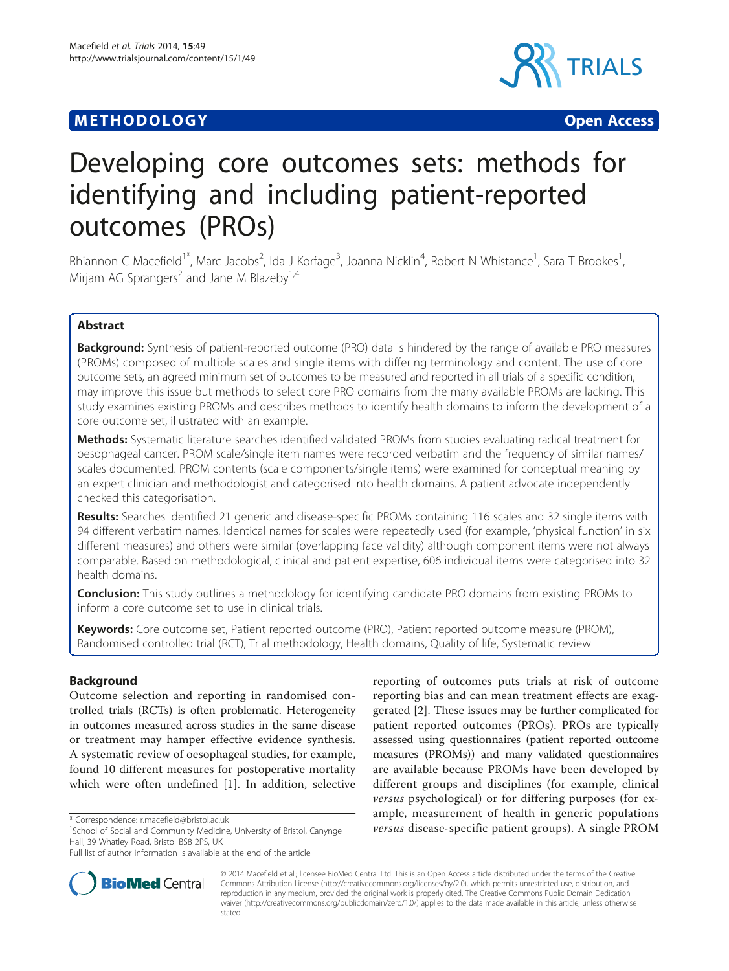# **METHODOLOGY CONSUMER ACCESS**



# Developing core outcomes sets: methods for identifying and including patient-reported outcomes (PROs)

Rhiannon C Macefield<sup>1\*</sup>, Marc Jacobs<sup>2</sup>, Ida J Korfage<sup>3</sup>, Joanna Nicklin<sup>4</sup>, Robert N Whistance<sup>1</sup>, Sara T Brookes<sup>1</sup> , Mirjam AG Sprangers<sup>2</sup> and Jane M Blazeby<sup>1,4</sup>

## Abstract

Background: Synthesis of patient-reported outcome (PRO) data is hindered by the range of available PRO measures (PROMs) composed of multiple scales and single items with differing terminology and content. The use of core outcome sets, an agreed minimum set of outcomes to be measured and reported in all trials of a specific condition, may improve this issue but methods to select core PRO domains from the many available PROMs are lacking. This study examines existing PROMs and describes methods to identify health domains to inform the development of a core outcome set, illustrated with an example.

Methods: Systematic literature searches identified validated PROMs from studies evaluating radical treatment for oesophageal cancer. PROM scale/single item names were recorded verbatim and the frequency of similar names/ scales documented. PROM contents (scale components/single items) were examined for conceptual meaning by an expert clinician and methodologist and categorised into health domains. A patient advocate independently checked this categorisation.

Results: Searches identified 21 generic and disease-specific PROMs containing 116 scales and 32 single items with 94 different verbatim names. Identical names for scales were repeatedly used (for example, 'physical function' in six different measures) and others were similar (overlapping face validity) although component items were not always comparable. Based on methodological, clinical and patient expertise, 606 individual items were categorised into 32 health domains.

**Conclusion:** This study outlines a methodology for identifying candidate PRO domains from existing PROMs to inform a core outcome set to use in clinical trials.

Keywords: Core outcome set, Patient reported outcome (PRO), Patient reported outcome measure (PROM), Randomised controlled trial (RCT), Trial methodology, Health domains, Quality of life, Systematic review

## Background

Outcome selection and reporting in randomised controlled trials (RCTs) is often problematic. Heterogeneity in outcomes measured across studies in the same disease or treatment may hamper effective evidence synthesis. A systematic review of oesophageal studies, for example, found 10 different measures for postoperative mortality which were often undefined [[1\]](#page-9-0). In addition, selective

Full list of author information is available at the end of the article





© 2014 Macefield et al.; licensee BioMed Central Ltd. This is an Open Access article distributed under the terms of the Creative Commons Attribution License [\(http://creativecommons.org/licenses/by/2.0\)](http://creativecommons.org/licenses/by/2.0), which permits unrestricted use, distribution, and reproduction in any medium, provided the original work is properly cited. The Creative Commons Public Domain Dedication waiver [\(http://creativecommons.org/publicdomain/zero/1.0/\)](http://creativecommons.org/publicdomain/zero/1.0/) applies to the data made available in this article, unless otherwise stated.

<sup>&</sup>lt;sup>1</sup>School of Social and Community Medicine, University of Bristol, Canynge Hall, 39 Whatley Road, Bristol BS8 2PS, UK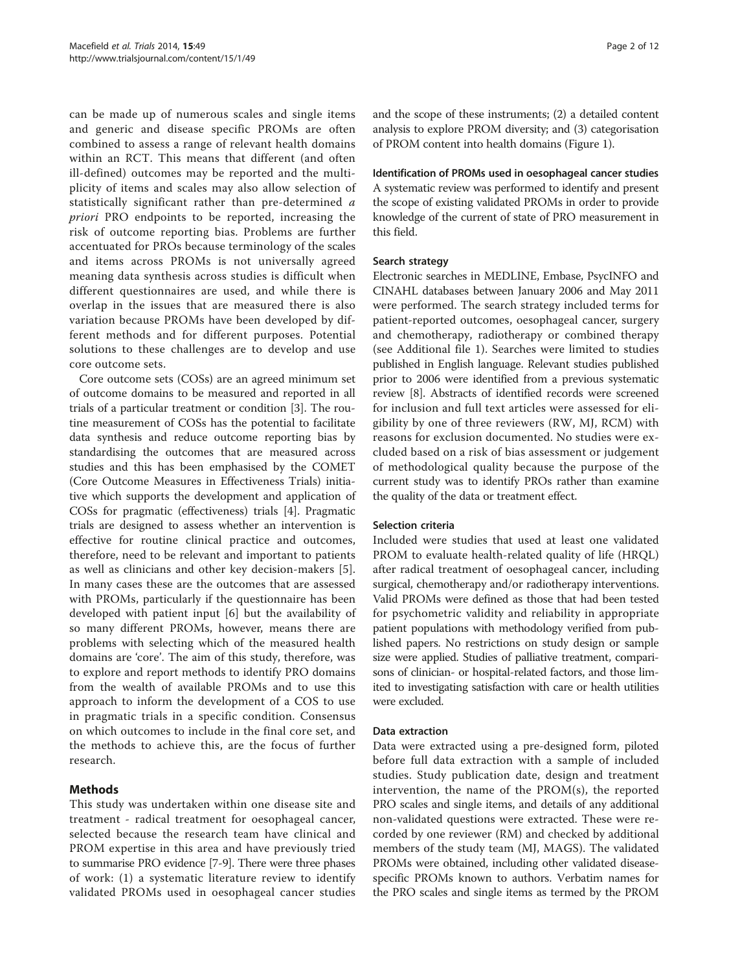can be made up of numerous scales and single items and generic and disease specific PROMs are often combined to assess a range of relevant health domains within an RCT. This means that different (and often ill-defined) outcomes may be reported and the multiplicity of items and scales may also allow selection of statistically significant rather than pre-determined a priori PRO endpoints to be reported, increasing the risk of outcome reporting bias. Problems are further accentuated for PROs because terminology of the scales and items across PROMs is not universally agreed meaning data synthesis across studies is difficult when different questionnaires are used, and while there is overlap in the issues that are measured there is also variation because PROMs have been developed by different methods and for different purposes. Potential solutions to these challenges are to develop and use core outcome sets.

Core outcome sets (COSs) are an agreed minimum set of outcome domains to be measured and reported in all trials of a particular treatment or condition [\[3](#page-9-0)]. The routine measurement of COSs has the potential to facilitate data synthesis and reduce outcome reporting bias by standardising the outcomes that are measured across studies and this has been emphasised by the COMET (Core Outcome Measures in Effectiveness Trials) initiative which supports the development and application of COSs for pragmatic (effectiveness) trials [[4\]](#page-9-0). Pragmatic trials are designed to assess whether an intervention is effective for routine clinical practice and outcomes, therefore, need to be relevant and important to patients as well as clinicians and other key decision-makers [[5](#page-9-0)]. In many cases these are the outcomes that are assessed with PROMs, particularly if the questionnaire has been developed with patient input [[6](#page-9-0)] but the availability of so many different PROMs, however, means there are problems with selecting which of the measured health domains are 'core'. The aim of this study, therefore, was to explore and report methods to identify PRO domains from the wealth of available PROMs and to use this approach to inform the development of a COS to use in pragmatic trials in a specific condition. Consensus on which outcomes to include in the final core set, and the methods to achieve this, are the focus of further research.

## Methods

This study was undertaken within one disease site and treatment - radical treatment for oesophageal cancer, selected because the research team have clinical and PROM expertise in this area and have previously tried to summarise PRO evidence [[7](#page-9-0)-[9\]](#page-9-0). There were three phases of work: (1) a systematic literature review to identify validated PROMs used in oesophageal cancer studies and the scope of these instruments; (2) a detailed content analysis to explore PROM diversity; and (3) categorisation of PROM content into health domains (Figure [1](#page-2-0)).

Identification of PROMs used in oesophageal cancer studies A systematic review was performed to identify and present the scope of existing validated PROMs in order to provide knowledge of the current of state of PRO measurement in this field.

## Search strategy

Electronic searches in MEDLINE, Embase, PsycINFO and CINAHL databases between January 2006 and May 2011 were performed. The search strategy included terms for patient-reported outcomes, oesophageal cancer, surgery and chemotherapy, radiotherapy or combined therapy (see Additional file [1](#page-8-0)). Searches were limited to studies published in English language. Relevant studies published prior to 2006 were identified from a previous systematic review [[8\]](#page-9-0). Abstracts of identified records were screened for inclusion and full text articles were assessed for eligibility by one of three reviewers (RW, MJ, RCM) with reasons for exclusion documented. No studies were excluded based on a risk of bias assessment or judgement of methodological quality because the purpose of the current study was to identify PROs rather than examine the quality of the data or treatment effect.

## Selection criteria

Included were studies that used at least one validated PROM to evaluate health-related quality of life (HRQL) after radical treatment of oesophageal cancer, including surgical, chemotherapy and/or radiotherapy interventions. Valid PROMs were defined as those that had been tested for psychometric validity and reliability in appropriate patient populations with methodology verified from published papers. No restrictions on study design or sample size were applied. Studies of palliative treatment, comparisons of clinician- or hospital-related factors, and those limited to investigating satisfaction with care or health utilities were excluded.

#### Data extraction

Data were extracted using a pre-designed form, piloted before full data extraction with a sample of included studies. Study publication date, design and treatment intervention, the name of the PROM(s), the reported PRO scales and single items, and details of any additional non-validated questions were extracted. These were recorded by one reviewer (RM) and checked by additional members of the study team (MJ, MAGS). The validated PROMs were obtained, including other validated diseasespecific PROMs known to authors. Verbatim names for the PRO scales and single items as termed by the PROM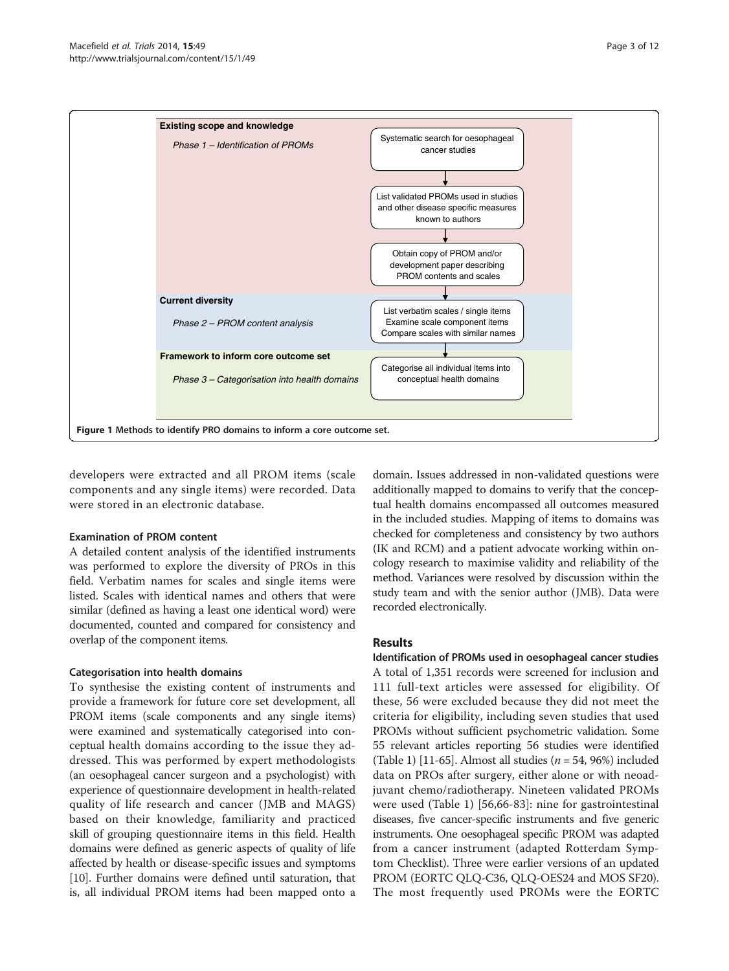<span id="page-2-0"></span>

developers were extracted and all PROM items (scale components and any single items) were recorded. Data were stored in an electronic database.

#### Examination of PROM content

A detailed content analysis of the identified instruments was performed to explore the diversity of PROs in this field. Verbatim names for scales and single items were listed. Scales with identical names and others that were similar (defined as having a least one identical word) were documented, counted and compared for consistency and overlap of the component items.

#### Categorisation into health domains

To synthesise the existing content of instruments and provide a framework for future core set development, all PROM items (scale components and any single items) were examined and systematically categorised into conceptual health domains according to the issue they addressed. This was performed by expert methodologists (an oesophageal cancer surgeon and a psychologist) with experience of questionnaire development in health-related quality of life research and cancer (JMB and MAGS) based on their knowledge, familiarity and practiced skill of grouping questionnaire items in this field. Health domains were defined as generic aspects of quality of life affected by health or disease-specific issues and symptoms [[10](#page-9-0)]. Further domains were defined until saturation, that is, all individual PROM items had been mapped onto a

domain. Issues addressed in non-validated questions were additionally mapped to domains to verify that the conceptual health domains encompassed all outcomes measured in the included studies. Mapping of items to domains was checked for completeness and consistency by two authors (IK and RCM) and a patient advocate working within oncology research to maximise validity and reliability of the method. Variances were resolved by discussion within the study team and with the senior author (JMB). Data were recorded electronically.

## Results

Identification of PROMs used in oesophageal cancer studies A total of 1,351 records were screened for inclusion and

111 full-text articles were assessed for eligibility. Of these, 56 were excluded because they did not meet the criteria for eligibility, including seven studies that used PROMs without sufficient psychometric validation. Some 55 relevant articles reporting 56 studies were identified (Table [1\)](#page-3-0) [[11](#page-9-0)-[65](#page-10-0)]. Almost all studies ( $n = 54$ , 96%) included data on PROs after surgery, either alone or with neoadjuvant chemo/radiotherapy. Nineteen validated PROMs were used (Table [1](#page-3-0)) [[56,66](#page-10-0)-[83\]](#page-11-0): nine for gastrointestinal diseases, five cancer-specific instruments and five generic instruments. One oesophageal specific PROM was adapted from a cancer instrument (adapted Rotterdam Symptom Checklist). Three were earlier versions of an updated PROM (EORTC QLQ-C36, QLQ-OES24 and MOS SF20). The most frequently used PROMs were the EORTC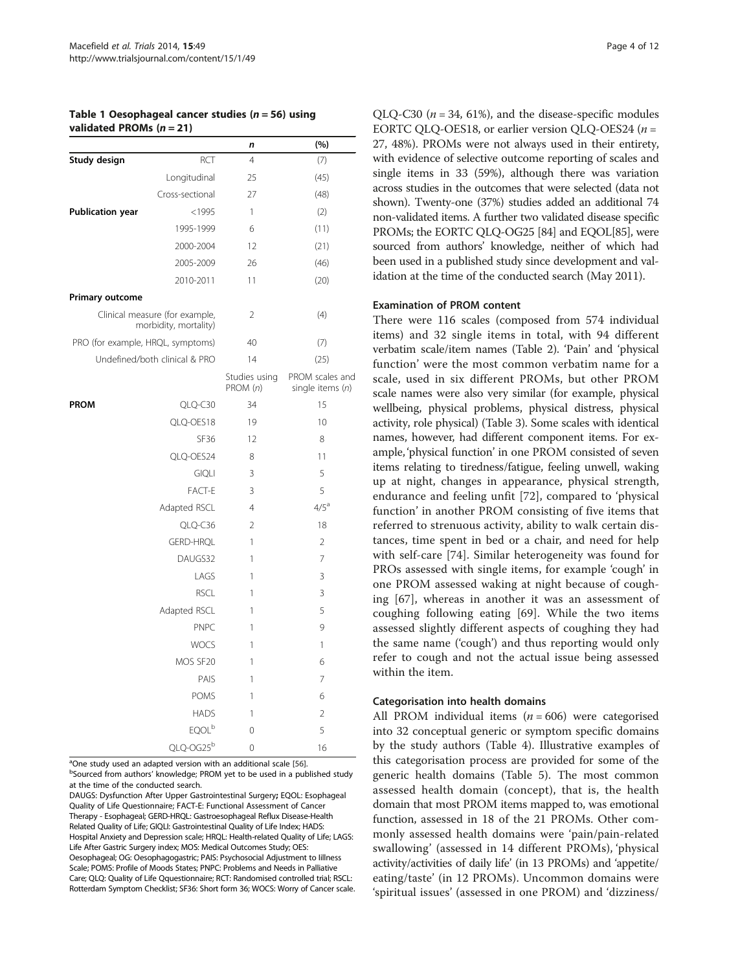<span id="page-3-0"></span>

| Table 1 Oesophageal cancer studies ( $n = 56$ ) using |  |  |
|-------------------------------------------------------|--|--|
| validated PROMs $(n = 21)$                            |  |  |

| .                                 |                                                         |                           |                                       |
|-----------------------------------|---------------------------------------------------------|---------------------------|---------------------------------------|
|                                   |                                                         | n                         | (%)                                   |
| Study design                      | <b>RCT</b>                                              | $\overline{4}$            | (7)                                   |
|                                   | Longitudinal                                            | 25                        | (45)                                  |
|                                   | Cross-sectional                                         | 27                        | (48)                                  |
| <b>Publication year</b>           | < 1995                                                  | 1                         | (2)                                   |
|                                   | 1995-1999                                               | 6                         | (11)                                  |
|                                   | 2000-2004                                               | 12                        | (21)                                  |
|                                   | 2005-2009                                               | 26                        | (46)                                  |
|                                   | 2010-2011                                               | 11                        | (20)                                  |
| Primary outcome                   |                                                         |                           |                                       |
|                                   | Clinical measure (for example,<br>morbidity, mortality) | $\mathfrak{D}$            | (4)                                   |
| PRO (for example, HRQL, symptoms) |                                                         | 40                        | (7)                                   |
|                                   | Undefined/both clinical & PRO                           | 14                        | (25)                                  |
|                                   |                                                         | Studies using<br>PROM (n) | PROM scales and<br>single items $(n)$ |
| <b>PROM</b>                       | QLQ-C30                                                 | 34                        | 15                                    |
|                                   | QLQ-OES18                                               | 19                        | 10                                    |
|                                   | <b>SF36</b>                                             | 12                        | 8                                     |
|                                   | QLQ-OES24                                               | 8                         | 11                                    |
|                                   | <b>GIQLI</b>                                            | 3                         | 5                                     |
|                                   | FACT-E                                                  | 3                         | 5                                     |
|                                   | Adapted RSCL                                            | 4                         | $4/5^a$                               |
|                                   | QLQ-C36                                                 | $\overline{2}$            | 18                                    |
|                                   | <b>GERD-HRQL</b>                                        | 1                         | $\overline{2}$                        |
|                                   | DAUGS32                                                 | 1                         | 7                                     |
|                                   | LAGS                                                    | 1                         | 3                                     |
|                                   | <b>RSCL</b>                                             | 1                         | 3                                     |
|                                   | Adapted RSCL                                            | 1                         | 5                                     |
|                                   | PNPC                                                    | 1                         | 9                                     |
|                                   | <b>WOCS</b>                                             | 1                         | 1                                     |
|                                   | MOS SF20                                                | 1                         | 6                                     |
|                                   | PAIS                                                    | 1                         | $\overline{7}$                        |
|                                   | <b>POMS</b>                                             | 1                         | 6                                     |
|                                   | <b>HADS</b>                                             | 1                         | $\overline{2}$                        |
|                                   | EQOL <sup>b</sup>                                       | 0                         | 5                                     |
|                                   | QLQ-OG25 <sup>b</sup>                                   | 0                         | 16                                    |

and a study used an adapted version with an additional scale [\[56](#page-10-0)].<br>bSourced from authors' knowledge: BPOM yet to be used in a published

bSourced from authors' knowledge; PROM yet to be used in a published study at the time of the conducted search. DAUGS: Dysfunction After Upper Gastrointestinal Surgery; EQOL: Esophageal

Quality of Life Questionnaire; FACT-E: Functional Assessment of Cancer Therapy - Esophageal; GERD-HRQL: Gastroesophageal Reflux Disease-Health Related Quality of Life; GIQLI: Gastrointestinal Quality of Life Index; HADS: Hospital Anxiety and Depression scale; HRQL: Health-related Quality of Life; LAGS: Life After Gastric Surgery index; MOS: Medical Outcomes Study; OES: Oesophageal; OG: Oesophagogastric; PAIS: Psychosocial Adjustment to Iillness Scale; POMS: Profile of Moods States; PNPC: Problems and Needs in Palliative Care; QLQ: Quality of Life Qquestionnaire; RCT: Randomised controlled trial; RSCL: Rotterdam Symptom Checklist; SF36: Short form 36; WOCS: Worry of Cancer scale.

QLQ-C30 ( $n = 34$ , 61%), and the disease-specific modules EORTC OLO-OES18, or earlier version OLO-OES24 ( $n =$ 27, 48%). PROMs were not always used in their entirety, with evidence of selective outcome reporting of scales and single items in 33 (59%), although there was variation across studies in the outcomes that were selected (data not shown). Twenty-one (37%) studies added an additional 74 non-validated items. A further two validated disease specific PROMs; the EORTC QLQ-OG25 [\[84\]](#page-11-0) and EQOL[\[85](#page-11-0)], were sourced from authors' knowledge, neither of which had been used in a published study since development and validation at the time of the conducted search (May 2011).

## Examination of PROM content

There were 116 scales (composed from 574 individual items) and 32 single items in total, with 94 different verbatim scale/item names (Table [2](#page-4-0)). 'Pain' and 'physical function' were the most common verbatim name for a scale, used in six different PROMs, but other PROM scale names were also very similar (for example, physical wellbeing, physical problems, physical distress, physical activity, role physical) (Table [3](#page-5-0)). Some scales with identical names, however, had different component items. For example, 'physical function' in one PROM consisted of seven items relating to tiredness/fatigue, feeling unwell, waking up at night, changes in appearance, physical strength, endurance and feeling unfit [[72\]](#page-10-0), compared to 'physical function' in another PROM consisting of five items that referred to strenuous activity, ability to walk certain distances, time spent in bed or a chair, and need for help with self-care [[74](#page-10-0)]. Similar heterogeneity was found for PROs assessed with single items, for example 'cough' in one PROM assessed waking at night because of coughing [[67\]](#page-10-0), whereas in another it was an assessment of coughing following eating [[69\]](#page-10-0). While the two items assessed slightly different aspects of coughing they had the same name ('cough') and thus reporting would only refer to cough and not the actual issue being assessed within the item.

#### Categorisation into health domains

All PROM individual items ( $n = 606$ ) were categorised into 32 conceptual generic or symptom specific domains by the study authors (Table [4](#page-6-0)). Illustrative examples of this categorisation process are provided for some of the generic health domains (Table [5\)](#page-8-0). The most common assessed health domain (concept), that is, the health domain that most PROM items mapped to, was emotional function, assessed in 18 of the 21 PROMs. Other commonly assessed health domains were 'pain/pain-related swallowing' (assessed in 14 different PROMs), 'physical activity/activities of daily life' (in 13 PROMs) and 'appetite/ eating/taste' (in 12 PROMs). Uncommon domains were 'spiritual issues' (assessed in one PROM) and 'dizziness/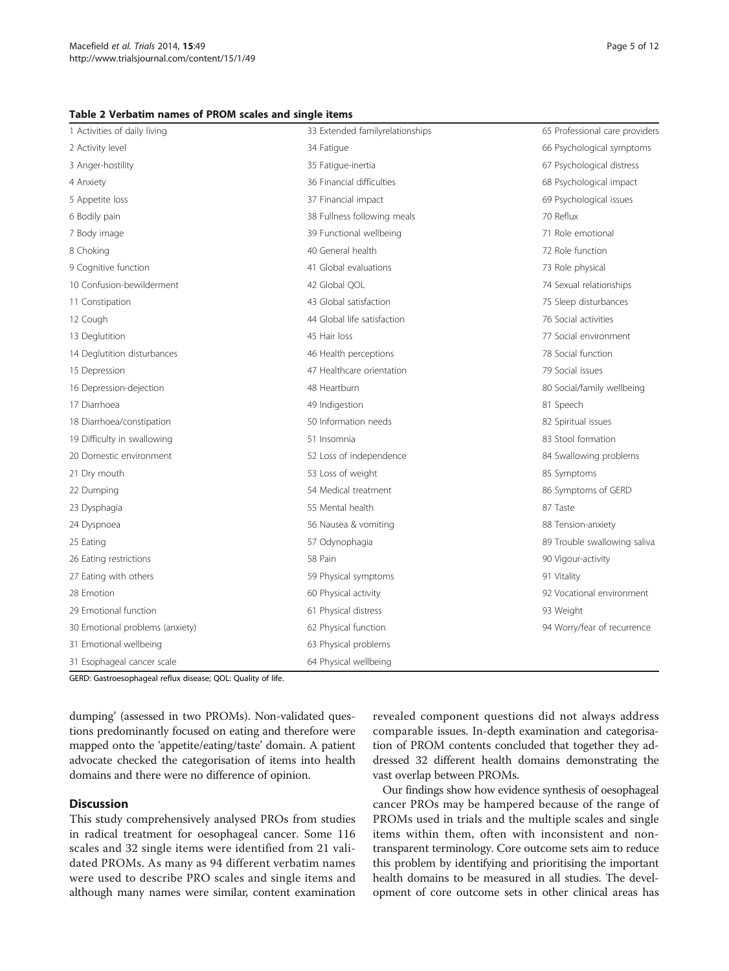#### <span id="page-4-0"></span>Table 2 Verbatim names of PROM scales and single items

| 1 Activities of daily living    | 33 Extended familyrelationships | 65 Professional care providers |
|---------------------------------|---------------------------------|--------------------------------|
| 2 Activity level                | 34 Fatigue                      | 66 Psychological symptoms      |
| 3 Anger-hostility               | 35 Fatigue-inertia              | 67 Psychological distress      |
| 4 Anxiety                       | 36 Financial difficulties       | 68 Psychological impact        |
| 5 Appetite loss                 | 37 Financial impact             | 69 Psychological issues        |
| 6 Bodily pain                   | 38 Fullness following meals     | 70 Reflux                      |
| 7 Body image                    | 39 Functional wellbeing         | 71 Role emotional              |
| 8 Choking                       | 40 General health               | 72 Role function               |
| 9 Cognitive function            | 41 Global evaluations           | 73 Role physical               |
| 10 Confusion-bewilderment       | 42 Global QOL                   | 74 Sexual relationships        |
| 11 Constipation                 | 43 Global satisfaction          | 75 Sleep disturbances          |
| 12 Cough                        | 44 Global life satisfaction     | 76 Social activities           |
| 13 Deglutition                  | 45 Hair loss                    | 77 Social environment          |
| 14 Deglutition disturbances     | 46 Health perceptions           | 78 Social function             |
| 15 Depression                   | 47 Healthcare orientation       | 79 Social issues               |
| 16 Depression-dejection         | 48 Heartburn                    | 80 Social/family wellbeing     |
| 17 Diarrhoea                    | 49 Indigestion                  | 81 Speech                      |
| 18 Diarrhoea/constipation       | 50 Information needs            | 82 Spiritual issues            |
| 19 Difficulty in swallowing     | 51 Insomnia                     | 83 Stool formation             |
| 20 Domestic environment         | 52 Loss of independence         | 84 Swallowing problems         |
| 21 Dry mouth                    | 53 Loss of weight               | 85 Symptoms                    |
| 22 Dumping                      | 54 Medical treatment            | 86 Symptoms of GERD            |
| 23 Dysphagia                    | 55 Mental health                | 87 Taste                       |
| 24 Dyspnoea                     | 56 Nausea & vomiting            | 88 Tension-anxiety             |
| 25 Eating                       | 57 Odynophagia                  | 89 Trouble swallowing saliva   |
| 26 Eating restrictions          | 58 Pain                         | 90 Vigour-activity             |
| 27 Eating with others           | 59 Physical symptoms            | 91 Vitality                    |
| 28 Emotion                      | 60 Physical activity            | 92 Vocational environment      |
| 29 Emotional function           | 61 Physical distress            | 93 Weight                      |
| 30 Emotional problems (anxiety) | 62 Physical function            | 94 Worry/fear of recurrence    |
| 31 Emotional wellbeing          | 63 Physical problems            |                                |
| 31 Esophageal cancer scale      | 64 Physical wellbeing           |                                |

GERD: Gastroesophageal reflux disease; QOL: Quality of life.

dumping' (assessed in two PROMs). Non-validated questions predominantly focused on eating and therefore were mapped onto the 'appetite/eating/taste' domain. A patient advocate checked the categorisation of items into health domains and there were no difference of opinion.

## Discussion

This study comprehensively analysed PROs from studies in radical treatment for oesophageal cancer. Some 116 scales and 32 single items were identified from 21 validated PROMs. As many as 94 different verbatim names were used to describe PRO scales and single items and although many names were similar, content examination

revealed component questions did not always address comparable issues. In-depth examination and categorisation of PROM contents concluded that together they addressed 32 different health domains demonstrating the vast overlap between PROMs.

Our findings show how evidence synthesis of oesophageal cancer PROs may be hampered because of the range of PROMs used in trials and the multiple scales and single items within them, often with inconsistent and nontransparent terminology. Core outcome sets aim to reduce this problem by identifying and prioritising the important health domains to be measured in all studies. The development of core outcome sets in other clinical areas has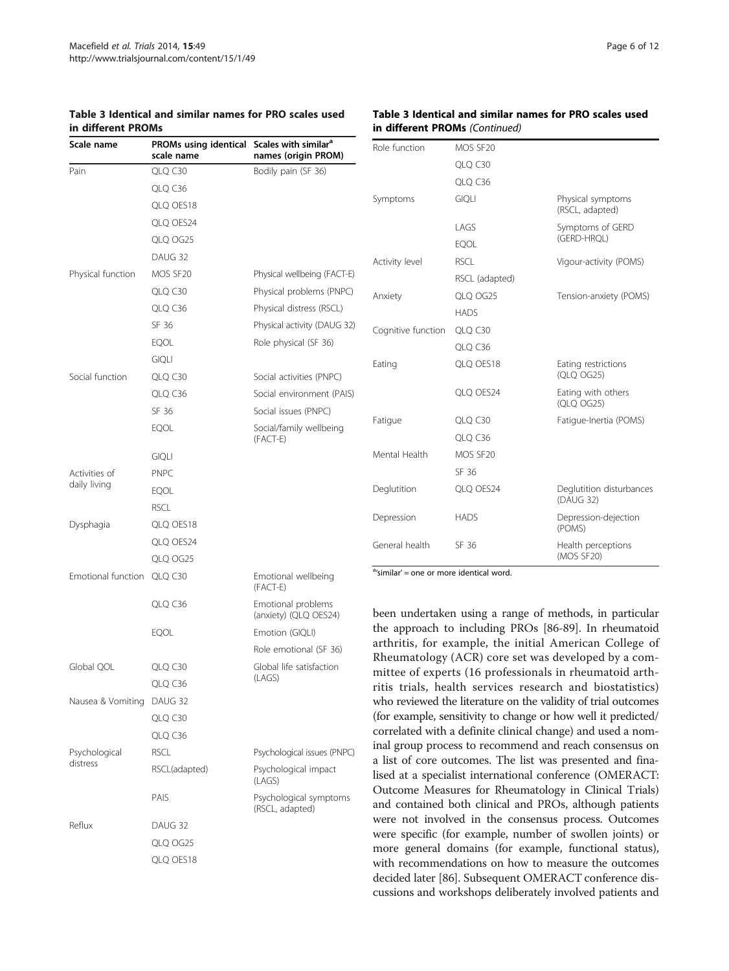#### <span id="page-5-0"></span>Table 3 Identical and similar names for PRO scales used in different PROMs

## Table 3 Identical and similar names for PRO scales used in different PROMs (Continued)

| Scale name                    | PROMs using identical Scales with similar <sup>a</sup><br>scale name | names (origin PROM)                                                              | Role function                                       | MOS SF <sub>20</sub> |  |  |
|-------------------------------|----------------------------------------------------------------------|----------------------------------------------------------------------------------|-----------------------------------------------------|----------------------|--|--|
| Pain                          | QLQ C30                                                              | Bodily pain (SF 36)                                                              |                                                     | QLQ C30              |  |  |
|                               | QLQ C36                                                              |                                                                                  |                                                     | QLQ C36              |  |  |
|                               | QLQ OES18                                                            |                                                                                  | Symptoms                                            | <b>GIQLI</b>         |  |  |
|                               | QLQ OES24                                                            |                                                                                  |                                                     | LAGS                 |  |  |
|                               | QLQ OG25                                                             |                                                                                  |                                                     | <b>EQOL</b>          |  |  |
|                               | DAUG 32                                                              |                                                                                  | Activity level                                      | <b>RSCL</b>          |  |  |
| Physical function             | MOS SF20                                                             | Physical wellbeing (FACT-E)                                                      |                                                     | RSCL (adap           |  |  |
|                               | QLQ C30                                                              | Physical problems (PNPC)                                                         | Anxiety                                             | QLQ OG25             |  |  |
|                               | QLQ C36                                                              | Physical distress (RSCL)                                                         |                                                     | <b>HADS</b>          |  |  |
|                               | SF 36                                                                | Physical activity (DAUG 32)                                                      | Cognitive function                                  | QLQ C30              |  |  |
|                               | <b>EQOL</b>                                                          | Role physical (SF 36)                                                            |                                                     | QLQ C36              |  |  |
|                               | <b>GIQLI</b>                                                         |                                                                                  | Eating                                              | QLQ OES1             |  |  |
| Social function               | QLQ C30                                                              | Social activities (PNPC)                                                         |                                                     |                      |  |  |
|                               | QLQ C36                                                              | Social environment (PAIS)                                                        |                                                     | QLQ OES2             |  |  |
|                               | SF 36                                                                | Social issues (PNPC)                                                             |                                                     |                      |  |  |
|                               | <b>EQOL</b>                                                          | Social/family wellbeing                                                          | Fatigue                                             | QLQ C30              |  |  |
|                               |                                                                      | (FACT-E)                                                                         |                                                     | QLQ C36              |  |  |
|                               | <b>GIQLI</b>                                                         |                                                                                  | Mental Health                                       | MOS SF20             |  |  |
| Activities of<br>daily living | PNPC                                                                 |                                                                                  |                                                     | SF 36                |  |  |
|                               | EQOL                                                                 |                                                                                  | Deglutition                                         | QLQ OES2             |  |  |
|                               | RSCL                                                                 |                                                                                  | Depression                                          | <b>HADS</b>          |  |  |
| Dysphagia                     | QLQ OES18                                                            |                                                                                  |                                                     |                      |  |  |
|                               | QLQ OES24                                                            |                                                                                  | General health                                      | SF 36                |  |  |
|                               | QLQ OG25                                                             |                                                                                  |                                                     |                      |  |  |
| Emotional function QLQ C30    |                                                                      | Emotional wellbeing<br>(FACT-E)                                                  | a'similar' = one or more identical w                |                      |  |  |
|                               | QLQ C36                                                              | been undertaken using a                                                          |                                                     |                      |  |  |
|                               | <b>EQOL</b>                                                          | Emotion (GIQLI)                                                                  | the approach to includin                            |                      |  |  |
|                               |                                                                      | Role emotional (SF 36)                                                           | arthritis, for example, t<br>Rheumatology (ACR) co  |                      |  |  |
| Global QOL                    | QLQ C30                                                              | Global life satisfaction                                                         | mittee of experts (16 pr                            |                      |  |  |
|                               | QLQ C36                                                              | (LAGS)                                                                           | ritis trials, health servi                          |                      |  |  |
| Nausea & Vomiting             | DAUG 32                                                              |                                                                                  | who reviewed the literatur                          |                      |  |  |
|                               | QLQ C30                                                              | (for example, sensitivity to                                                     |                                                     |                      |  |  |
|                               | QLQ C36                                                              | correlated with a definite                                                       |                                                     |                      |  |  |
| Psychological<br>distress     | <b>RSCL</b>                                                          | inal group process to reco                                                       |                                                     |                      |  |  |
|                               | RSCL(adapted)                                                        | a list of core outcomes.<br>lised at a specialist intern<br>Outcome Measures for |                                                     |                      |  |  |
|                               | PAIS                                                                 | Psychological symptoms<br>(RSCL, adapted)                                        | and contained both clini                            |                      |  |  |
| Reflux                        | DAUG 32                                                              |                                                                                  | were not involved in th<br>were specific (for examp |                      |  |  |
|                               | QLQ OG25                                                             |                                                                                  | more general domains                                |                      |  |  |
|                               | QLQ OES18                                                            |                                                                                  | with recommendations of                             |                      |  |  |

|                    | QLQ C30        |                                       |
|--------------------|----------------|---------------------------------------|
|                    | QLQ C36        |                                       |
| Symptoms           | <b>GIQLI</b>   | Physical symptoms<br>(RSCL, adapted)  |
|                    | LAGS           | Symptoms of GERD                      |
|                    | <b>EQOL</b>    | (GERD-HRQL)                           |
| Activity level     | <b>RSCL</b>    | Vigour-activity (POMS)                |
|                    | RSCL (adapted) |                                       |
| Anxiety            | QLQ OG25       | Tension-anxiety (POMS)                |
|                    | <b>HADS</b>    |                                       |
| Cognitive function | QLQ C30        |                                       |
|                    | QLQ C36        |                                       |
| Eating             | QLQ OES18      | Eating restrictions<br>(QLQ OG25)     |
|                    | QLQ OES24      | Eating with others<br>(QLQ OG25)      |
| Fatigue            | QLQ C30        | Fatigue-Inertia (POMS)                |
|                    | OLO C36        |                                       |
| Mental Health      | MOS SF20       |                                       |
|                    | SF 36          |                                       |
| Deglutition        | QLQ OES24      | Deglutition disturbances<br>(DAUG 32) |
| Depression         | <b>HADS</b>    | Depression-dejection<br>(POMS)        |
| General health     | SF 36          | Health perceptions<br>(MOS SF20)      |

e or more identical word.

ertaken using a range of methods, in particular ach to including PROs [\[86-89\]](#page-11-0). In rheumatoid for example, the initial American College of ology (ACR) core set was developed by a comexperts (16 professionals in rheumatoid arths, health services research and biostatistics) wed the literature on the validity of trial outcomes ple, sensitivity to change or how well it predicted/ with a definite clinical change) and used a nomprocess to recommend and reach consensus on ore outcomes. The list was presented and finaspecialist international conference (OMERACT: Measures for Rheumatology in Clinical Trials) and both clinical and PROs, although patients involved in the consensus process. Outcomes cific (for example, number of swollen joints) or eral domains (for example, functional status), with recommendations on how to measure the outcomes decided later [[86](#page-11-0)]. Subsequent OMERACT conference discussions and workshops deliberately involved patients and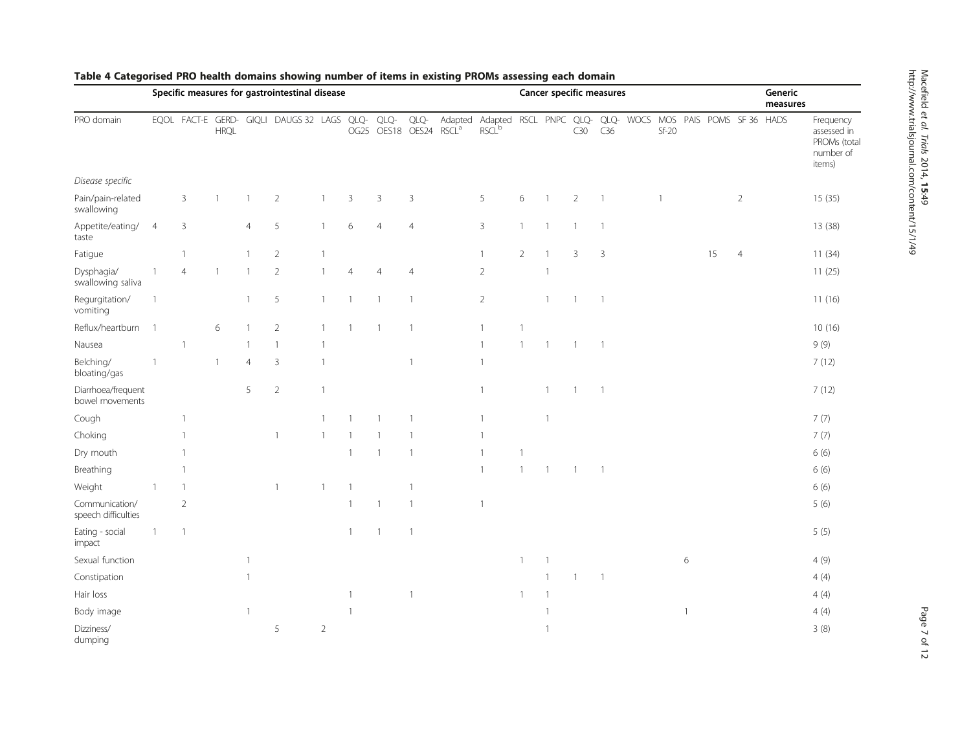|                                       |                          |                |                |                | Specific measures for gastrointestinal disease |                |                |                                            |                |         |                                              |                | Cancer specific measures |                |                 |             |                |              |                          |                | Generic<br>measures |                                                                 |
|---------------------------------------|--------------------------|----------------|----------------|----------------|------------------------------------------------|----------------|----------------|--------------------------------------------|----------------|---------|----------------------------------------------|----------------|--------------------------|----------------|-----------------|-------------|----------------|--------------|--------------------------|----------------|---------------------|-----------------------------------------------------------------|
| PRO domain                            |                          |                | <b>HRQL</b>    |                | EQOL FACT-E GERD- GIQLI DAUGS 32 LAGS          |                | $QLQ-$         | QLQ-<br>OG25 OES18 OES24 RSCL <sup>a</sup> | QLQ-           | Adapted | Adapted RSCL PNPC QLQ- QLQ-<br><b>RSCL</b> b |                |                          | C30            | C <sub>36</sub> | <b>WOCS</b> | $Sf-20$        |              | MOS PAIS POMS SF 36 HADS |                |                     | Frequency<br>assessed in<br>PROMs (total<br>number of<br>items) |
| Disease specific                      |                          |                |                |                |                                                |                |                |                                            |                |         |                                              |                |                          |                |                 |             |                |              |                          |                |                     |                                                                 |
| Pain/pain-related<br>swallowing       |                          | $\mathcal{E}$  | $\overline{1}$ | $\overline{1}$ | $\overline{2}$                                 | $\overline{1}$ | $\mathbf{3}$   | $\mathbf{3}$                               | $\mathsf 3$    |         | 5                                            | 6              | $\overline{1}$           | $\overline{2}$ | $\overline{1}$  |             | $\overline{1}$ |              |                          | $\overline{2}$ |                     | 15 (35)                                                         |
| Appetite/eating/<br>taste             | $\overline{4}$           | $\overline{3}$ |                | $\overline{4}$ | 5                                              | $\overline{1}$ | 6              | $\overline{4}$                             | $\overline{4}$ |         | 3                                            | $\overline{1}$ | $\overline{1}$           | $\mathbf{1}$   | $\overline{1}$  |             |                |              |                          |                |                     | 13 (38)                                                         |
| Fatigue                               |                          | $\overline{1}$ |                | $\overline{1}$ | $\overline{2}$                                 | $\overline{1}$ |                |                                            |                |         | $\overline{1}$                               | 2              | $\overline{1}$           | $\overline{3}$ | $\overline{3}$  |             |                |              | 15                       | $\overline{4}$ |                     | 11(34)                                                          |
| Dysphagia/<br>swallowing saliva       | $\overline{1}$           | $\overline{4}$ |                | $\overline{1}$ | $\overline{2}$                                 | $\overline{1}$ | $\overline{4}$ | $\overline{4}$                             | $\overline{4}$ |         | $\overline{2}$                               |                | $\overline{1}$           |                |                 |             |                |              |                          |                |                     | 11(25)                                                          |
| Regurgitation/<br>vomiting            | $\overline{1}$           |                |                | $\overline{1}$ | 5                                              | $\mathbf{1}$   | $\overline{1}$ | $\overline{1}$                             | $\overline{1}$ |         | $\overline{2}$                               |                | $\overline{1}$           |                | $\overline{1}$  |             |                |              |                          |                |                     | 11(16)                                                          |
| Reflux/heartburn                      | $\overline{\phantom{0}}$ |                | 6              | $\mathbf{1}$   | $\overline{2}$                                 |                |                | $\mathbf{1}$                               | $\overline{1}$ |         | $\mathbf{1}$                                 | $\overline{1}$ |                          |                |                 |             |                |              |                          |                |                     | 10(16)                                                          |
| Nausea                                |                          | $\overline{1}$ |                | $\overline{1}$ | $\overline{1}$                                 | $\overline{1}$ |                |                                            |                |         | $\mathbf{1}$                                 | $\mathbf{1}$   | $\overline{1}$           |                | $\overline{1}$  |             |                |              |                          |                |                     | 9(9)                                                            |
| Belching/<br>bloating/gas             | $\overline{1}$           |                |                | $\overline{4}$ | $\mathsf{3}$                                   | $\overline{1}$ |                |                                            | $\overline{1}$ |         | $\mathbf{1}$                                 |                |                          |                |                 |             |                |              |                          |                |                     | 7(12)                                                           |
| Diarrhoea/frequent<br>bowel movements |                          |                |                | 5              | $\overline{2}$                                 | $\overline{1}$ |                |                                            |                |         | $\overline{1}$                               |                | $\overline{1}$           | -1             | $\overline{1}$  |             |                |              |                          |                |                     | 7(12)                                                           |
| Cough                                 |                          | $\overline{1}$ |                |                |                                                | $\overline{1}$ |                | 1                                          | $\mathbf{1}$   |         |                                              |                | $\overline{1}$           |                |                 |             |                |              |                          |                |                     | 7(7)                                                            |
| Choking                               |                          | $\overline{1}$ |                |                | $\mathbf{1}$                                   | $\overline{1}$ |                | 1                                          | 1              |         | $\mathbf{1}$                                 |                |                          |                |                 |             |                |              |                          |                |                     | 7(7)                                                            |
| Dry mouth                             |                          | $\overline{1}$ |                |                |                                                |                | $\overline{1}$ | $\overline{1}$                             | $\overline{1}$ |         | $\mathbf{1}$                                 | $\overline{1}$ |                          |                |                 |             |                |              |                          |                |                     | 6(6)                                                            |
| Breathing                             |                          | $\overline{1}$ |                |                |                                                |                |                |                                            |                |         | $\mathbf{1}$                                 | $\mathbf{1}$   | $\overline{1}$           |                |                 |             |                |              |                          |                |                     | 6(6)                                                            |
| Weight                                | $\mathbf{1}$             | $\overline{1}$ |                |                | $\mathbf{1}$                                   | $\mathbf{1}$   |                |                                            | $\mathbf{1}$   |         |                                              |                |                          |                |                 |             |                |              |                          |                |                     | $6(6)$                                                          |
| Communication/<br>speech difficulties |                          | $\overline{2}$ |                |                |                                                |                | $\mathbf{1}$   | $\overline{1}$                             | $\overline{1}$ |         | $\overline{1}$                               |                |                          |                |                 |             |                |              |                          |                |                     | 5(6)                                                            |
| Eating - social<br>impact             | $\overline{1}$           | $\overline{1}$ |                |                |                                                |                | $\mathbf{1}$   | $\overline{1}$                             | $\overline{1}$ |         |                                              |                |                          |                |                 |             |                |              |                          |                |                     | 5(5)                                                            |
| Sexual function                       |                          |                |                | $\overline{1}$ |                                                |                |                |                                            |                |         |                                              | $\overline{1}$ | $\overline{1}$           |                |                 |             |                | 6            |                          |                |                     | 4(9)                                                            |
| Constipation                          |                          |                |                | $\overline{1}$ |                                                |                |                |                                            |                |         |                                              |                | $\mathbf{1}$             |                | $\overline{1}$  |             |                |              |                          |                |                     | 4(4)                                                            |
| Hair loss                             |                          |                |                |                |                                                |                | $\overline{1}$ |                                            | $\overline{1}$ |         |                                              | $\overline{1}$ | $\overline{1}$           |                |                 |             |                |              |                          |                |                     | 4(4)                                                            |
| Body image                            |                          |                |                | $\overline{1}$ |                                                |                | $\mathbf{1}$   |                                            |                |         |                                              |                | $\mathbf{1}$             |                |                 |             |                | $\mathbf{1}$ |                          |                |                     | 4(4)                                                            |
| Dizziness/<br>dumping                 |                          |                |                |                | 5                                              | $\overline{2}$ |                |                                            |                |         |                                              |                | $\overline{1}$           |                |                 |             |                |              |                          |                |                     | 3(8)                                                            |

## <span id="page-6-0"></span>Table 4 Categorised PRO health domains showing number of items in existing PROMs assessing each domain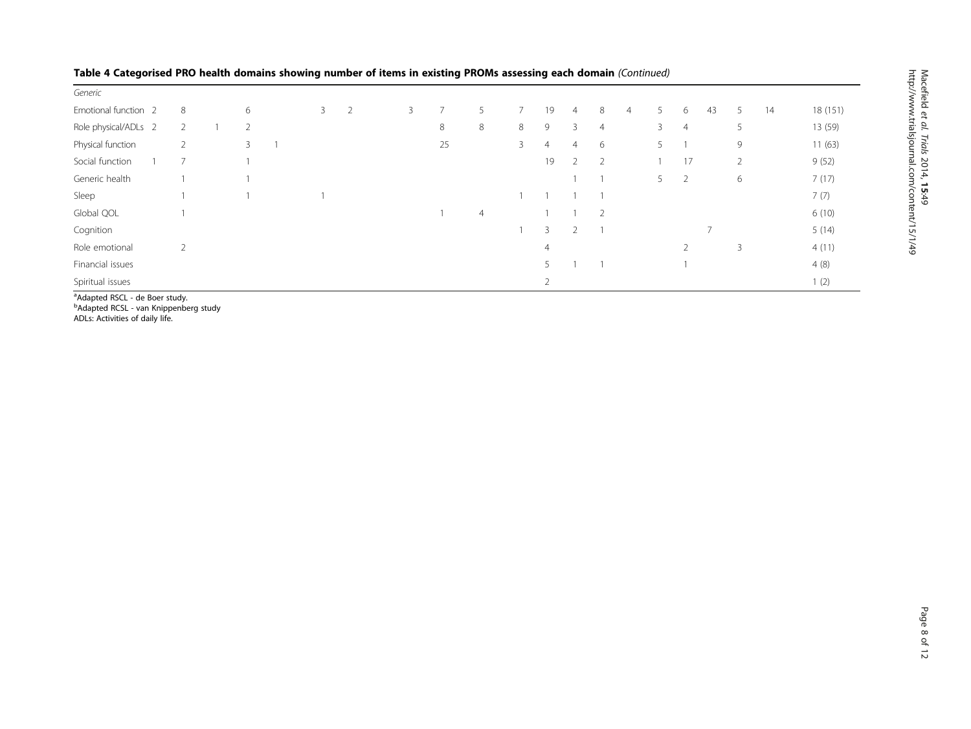## Generic Emotional function 2 8 6 3 2 3 7 5 7 19 4 8 4 5 6 43 5 14 18 (151) Role physical/ADLs 2 2 1 2 8 8 8 9 3 4 3 4 5 13 (59) Physical function 2 3 1 25 3 4 4 6 5 1 9 11 (63) Social function 1 1 7 1 19 2 2 1 17 2 9 (52) Generic health 1 1 1 1 5 2 6 7 (17) Sleep 1 1 1 1 1 1 1 7 (7) Global QOL 1 6 (10) 1 4 1 1 2 6 (10) 1 6 (10)  $\hbox{Cognition} \hskip 1.2cm 1 3 2 1 7 5 (14)$ Role emotional  $\overline{2}$  4  $\overline{2}$  3  $\overline{4}$  4 (11) Financial issues  $\begin{pmatrix} 8 \end{pmatrix}$ Spiritual issues 2 1 (2)

<sup>a</sup> Adapted RSCL - de Boer study. <sup>b</sup>Adapted RCSL - van Knippenberg study ADLs: Activities of daily life.

#### Table 4 Categorised PRO health domains showing number of items in existing PROMs assessing each domain (Continued)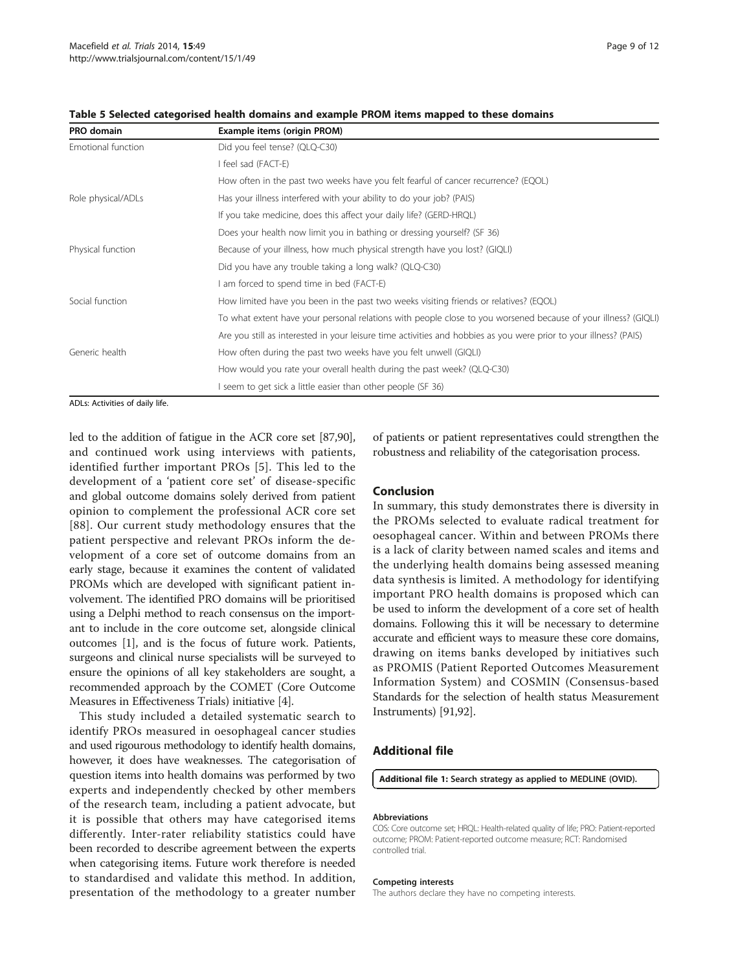<span id="page-8-0"></span>Table 5 Selected categorised health domains and example PROM items mapped to these domains

| PRO domain         | Example items (origin PROM)                                                                                       |
|--------------------|-------------------------------------------------------------------------------------------------------------------|
| Emotional function | Did you feel tense? (QLQ-C30)                                                                                     |
|                    | I feel sad (FACT-E)                                                                                               |
|                    | How often in the past two weeks have you felt fearful of cancer recurrence? (EQOL)                                |
| Role physical/ADLs | Has your illness interfered with your ability to do your job? (PAIS)                                              |
|                    | If you take medicine, does this affect your daily life? (GERD-HRQL)                                               |
|                    | Does your health now limit you in bathing or dressing yourself? (SF 36)                                           |
| Physical function  | Because of your illness, how much physical strength have you lost? (GIQLI)                                        |
|                    | Did you have any trouble taking a long walk? (QLQ-C30)                                                            |
|                    | am forced to spend time in bed (FACT-E)                                                                           |
| Social function    | How limited have you been in the past two weeks visiting friends or relatives? (EQOL)                             |
|                    | To what extent have your personal relations with people close to you worsened because of your illness? (GIQLI)    |
|                    | Are you still as interested in your leisure time activities and hobbies as you were prior to your illness? (PAIS) |
| Generic health     | How often during the past two weeks have you felt unwell (GIQLI)                                                  |
|                    | How would you rate your overall health during the past week? (QLQ-C30)                                            |
|                    | seem to get sick a little easier than other people (SF 36)                                                        |

ADLs: Activities of daily life.

led to the addition of fatigue in the ACR core set [\[87,90](#page-11-0)], and continued work using interviews with patients, identified further important PROs [\[5](#page-9-0)]. This led to the development of a 'patient core set' of disease-specific and global outcome domains solely derived from patient opinion to complement the professional ACR core set [[88](#page-11-0)]. Our current study methodology ensures that the patient perspective and relevant PROs inform the development of a core set of outcome domains from an early stage, because it examines the content of validated PROMs which are developed with significant patient involvement. The identified PRO domains will be prioritised using a Delphi method to reach consensus on the important to include in the core outcome set, alongside clinical outcomes [[1\]](#page-9-0), and is the focus of future work. Patients, surgeons and clinical nurse specialists will be surveyed to ensure the opinions of all key stakeholders are sought, a recommended approach by the COMET (Core Outcome Measures in Effectiveness Trials) initiative [\[4](#page-9-0)].

This study included a detailed systematic search to identify PROs measured in oesophageal cancer studies and used rigourous methodology to identify health domains, however, it does have weaknesses. The categorisation of question items into health domains was performed by two experts and independently checked by other members of the research team, including a patient advocate, but it is possible that others may have categorised items differently. Inter-rater reliability statistics could have been recorded to describe agreement between the experts when categorising items. Future work therefore is needed to standardised and validate this method. In addition, presentation of the methodology to a greater number of patients or patient representatives could strengthen the robustness and reliability of the categorisation process.

#### Conclusion

In summary, this study demonstrates there is diversity in the PROMs selected to evaluate radical treatment for oesophageal cancer. Within and between PROMs there is a lack of clarity between named scales and items and the underlying health domains being assessed meaning data synthesis is limited. A methodology for identifying important PRO health domains is proposed which can be used to inform the development of a core set of health domains. Following this it will be necessary to determine accurate and efficient ways to measure these core domains, drawing on items banks developed by initiatives such as PROMIS (Patient Reported Outcomes Measurement Information System) and COSMIN (Consensus-based Standards for the selection of health status Measurement Instruments) [\[91,92\]](#page-11-0).

## Additional file

[Additional file 1:](http://www.biomedcentral.com/content/supplementary/1745-6215-15-49-S1.doc) Search strategy as applied to MEDLINE (OVID).

#### Abbreviations

COS: Core outcome set; HRQL: Health-related quality of life; PRO: Patient-reported outcome; PROM: Patient-reported outcome measure; RCT: Randomised controlled trial

#### Competing interests

The authors declare they have no competing interests.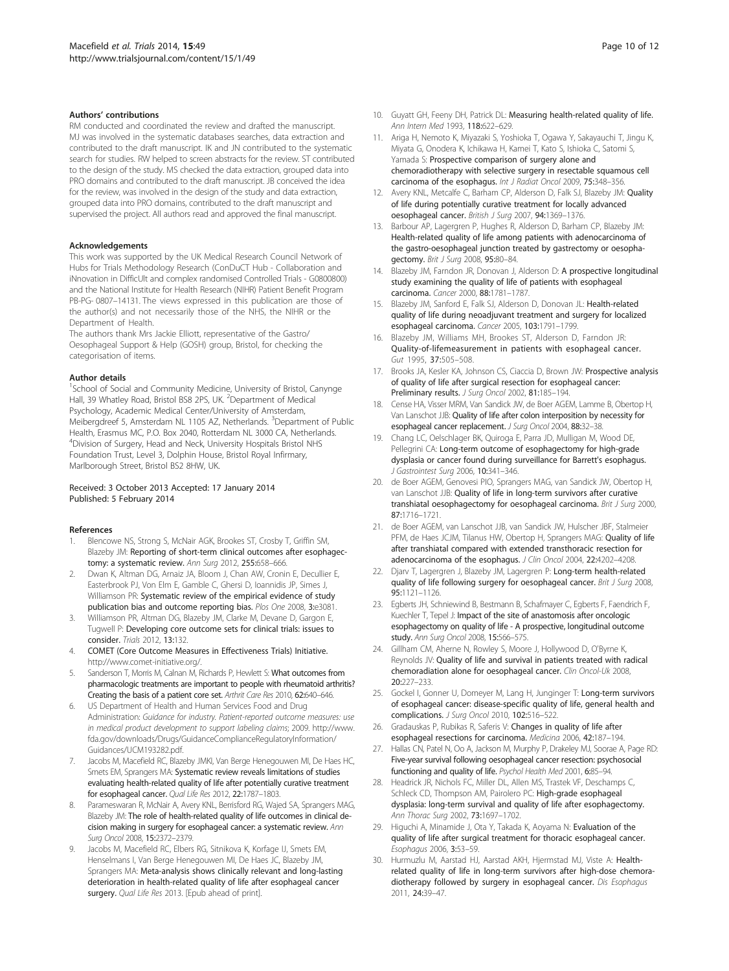#### <span id="page-9-0"></span>Authors' contributions

RM conducted and coordinated the review and drafted the manuscript. MJ was involved in the systematic databases searches, data extraction and contributed to the draft manuscript. IK and JN contributed to the systematic search for studies. RW helped to screen abstracts for the review. ST contributed to the design of the study. MS checked the data extraction, grouped data into PRO domains and contributed to the draft manuscript. JB conceived the idea for the review, was involved in the design of the study and data extraction, grouped data into PRO domains, contributed to the draft manuscript and supervised the project. All authors read and approved the final manuscript.

#### Acknowledgements

This work was supported by the UK Medical Research Council Network of Hubs for Trials Methodology Research (ConDuCT Hub - Collaboration and iNnovation in DifficUlt and complex randomised Controlled Trials - G0800800) and the National Institute for Health Research (NIHR) Patient Benefit Program PB-PG- 0807–14131. The views expressed in this publication are those of the author(s) and not necessarily those of the NHS, the NIHR or the Department of Health.

The authors thank Mrs Jackie Elliott, representative of the Gastro/ Oesophageal Support & Help (GOSH) group, Bristol, for checking the categorisation of items.

#### Author details

<sup>1</sup>School of Social and Community Medicine, University of Bristol, Canynge Hall, 39 Whatley Road, Bristol BS8 2PS, UK. <sup>2</sup>Department of Medical Psychology, Academic Medical Center/University of Amsterdam, Meibergdreef 5, Amsterdam NL 1105 AZ, Netherlands. <sup>3</sup>Department of Public Health, Erasmus MC, P.O. Box 2040, Rotterdam NL 3000 CA, Netherlands. 4 Division of Surgery, Head and Neck, University Hospitals Bristol NHS Foundation Trust, Level 3, Dolphin House, Bristol Royal Infirmary, Marlborough Street, Bristol BS2 8HW, UK.

#### Received: 3 October 2013 Accepted: 17 January 2014 Published: 5 February 2014

#### References

- 1. Blencowe NS, Strong S, McNair AGK, Brookes ST, Crosby T, Griffin SM, Blazeby JM: Reporting of short-term clinical outcomes after esophagectomy: a systematic review. Ann Surg 2012, 255:658-666.
- 2. Dwan K, Altman DG, Arnaiz JA, Bloom J, Chan AW, Cronin E, Decullier E, Easterbrook PJ, Von Elm E, Gamble C, Ghersi D, Ioannidis JP, Simes J, Williamson PR: Systematic review of the empirical evidence of study publication bias and outcome reporting bias. Plos One 2008, 3:e3081.
- 3. Williamson PR, Altman DG, Blazeby JM, Clarke M, Devane D, Gargon E, Tugwell P: Developing core outcome sets for clinical trials: issues to consider. Trials 2012, 13:132.
- 4. COMET (Core Outcome Measures in Effectiveness Trials) Initiative. [http://www.comet-initiative.org/.](http://www.comet-initiative.org/)
- 5. Sanderson T, Morris M, Calnan M, Richards P, Hewlett S: What outcomes from pharmacologic treatments are important to people with rheumatoid arthritis? Creating the basis of a patient core set. Arthrit Care Res 2010, 62:640–646.
- 6. US Department of Health and Human Services Food and Drug Administration: Guidance for industry. Patient-reported outcome measures: use in medical product development to support labeling claims; 2009. [http://www.](http://www.fda.gov/downloads/Drugs/GuidanceComplianceRegulatoryInformation/Guidances/UCM193282.pdf) [fda.gov/downloads/Drugs/GuidanceComplianceRegulatoryInformation/](http://www.fda.gov/downloads/Drugs/GuidanceComplianceRegulatoryInformation/Guidances/UCM193282.pdf) [Guidances/UCM193282.pdf.](http://www.fda.gov/downloads/Drugs/GuidanceComplianceRegulatoryInformation/Guidances/UCM193282.pdf)
- 7. Jacobs M, Macefield RC, Blazeby JMKI, Van Berge Henegouwen MI, De Haes HC, Smets EM, Sprangers MA: Systematic review reveals limitations of studies evaluating health-related quality of life after potentially curative treatment for esophageal cancer. Qual Life Res 2012, 22:1787–1803.
- 8. Parameswaran R, McNair A, Avery KNL, Berrisford RG, Wajed SA, Sprangers MAG, Blazeby JM: The role of health-related quality of life outcomes in clinical decision making in surgery for esophageal cancer: a systematic review. Ann Surg Oncol 2008, 15:2372–2379.
- 9. Jacobs M, Macefield RC, Elbers RG, Sitnikova K, Korfage IJ, Smets EM, Henselmans I, Van Berge Henegouwen MI, De Haes JC, Blazeby JM, Sprangers MA: Meta-analysis shows clinically relevant and long-lasting deterioration in health-related quality of life after esophageal cancer surgery. Qual Life Res 2013. [Epub ahead of print].
- 10. Guyatt GH, Feeny DH, Patrick DL: Measuring health-related quality of life. Ann Intern Med 1993, 118:622–629.
- 11. Ariga H, Nemoto K, Miyazaki S, Yoshioka T, Ogawa Y, Sakayauchi T, Jingu K, Miyata G, Onodera K, Ichikawa H, Kamei T, Kato S, Ishioka C, Satomi S, Yamada S: Prospective comparison of surgery alone and chemoradiotherapy with selective surgery in resectable squamous cell carcinoma of the esophagus. Int J Radiat Oncol 2009, 75:348–356.
- 12. Avery KNL, Metcalfe C, Barham CP, Alderson D, Falk SJ, Blazeby JM: Quality of life during potentially curative treatment for locally advanced oesophageal cancer. British J Surg 2007, 94:1369–1376.
- 13. Barbour AP, Lagergren P, Hughes R, Alderson D, Barham CP, Blazeby JM: Health-related quality of life among patients with adenocarcinoma of the gastro-oesophageal junction treated by gastrectomy or oesophagectomy. Brit J Surg 2008, 95:80–84.
- 14. Blazeby JM, Farndon JR, Donovan J, Alderson D: A prospective longitudinal study examining the quality of life of patients with esophageal carcinoma. Cancer 2000, 88:1781–1787.
- 15. Blazeby JM, Sanford E, Falk SJ, Alderson D, Donovan JL: Health-related quality of life during neoadjuvant treatment and surgery for localized esophageal carcinoma. Cancer 2005, 103:1791–1799.
- 16. Blazeby JM, Williams MH, Brookes ST, Alderson D, Farndon JR: Quality-of-lifemeasurement in patients with esophageal cancer. Gut 1995, 37:505–508.
- 17. Brooks JA, Kesler KA, Johnson CS, Ciaccia D, Brown JW: Prospective analysis of quality of life after surgical resection for esophageal cancer: Preliminary results. J Surg Oncol 2002, 81:185-194.
- 18. Cense HA, Visser MRM, Van Sandick JW, de Boer AGEM, Lamme B, Obertop H, Van Lanschot JJB: Quality of life after colon interposition by necessity for esophageal cancer replacement. J Surg Oncol 2004, 88:32–38.
- 19. Chang LC, Oelschlager BK, Quiroga E, Parra JD, Mulligan M, Wood DE, Pellegrini CA: Long-term outcome of esophagectomy for high-grade dysplasia or cancer found during surveillance for Barrett's esophagus. J Gastrointest Surg 2006, 10:341–346.
- 20. de Boer AGEM, Genovesi PIO, Sprangers MAG, van Sandick JW, Obertop H, van Lanschot JJB: Quality of life in long-term survivors after curative transhiatal oesophagectomy for oesophageal carcinoma. Brit J Surg 2000, 87:1716–1721.
- 21. de Boer AGEM, van Lanschot JJB, van Sandick JW, Hulscher JBF, Stalmeier PFM, de Haes JCJM, Tilanus HW, Obertop H, Sprangers MAG: Quality of life after transhiatal compared with extended transthoracic resection for adenocarcinoma of the esophagus. J Clin Oncol 2004, 22:4202-4208.
- 22. Djarv T, Lagergren J, Blazeby JM, Lagergren P: Long-term health-related quality of life following surgery for oesophageal cancer. Brit J Surg 2008, 95:1121–1126.
- 23. Egberts JH, Schniewind B, Bestmann B, Schafmayer C, Egberts F, Faendrich F, Kuechler T, Tepel J: Impact of the site of anastomosis after oncologic esophagectomy on quality of life - A prospective, longitudinal outcome study. Ann Surg Oncol 2008, 15:566–575.
- 24. Gillham CM, Aherne N, Rowley S, Moore J, Hollywood D, O'Byrne K, Reynolds JV: Quality of life and survival in patients treated with radical chemoradiation alone for oesophageal cancer. Clin Oncol-Uk 2008, 20:227–233.
- 25. Gockel I, Gonner U, Domeyer M, Lang H, Junginger T: Long-term survivors of esophageal cancer: disease-specific quality of life, general health and complications. J Surg Oncol 2010, 102:516–522.
- 26. Gradauskas P, Rubikas R, Saferis V: Changes in quality of life after esophageal resections for carcinoma. Medicina 2006, 42:187–194.
- 27. Hallas CN, Patel N, Oo A, Jackson M, Murphy P, Drakeley MJ, Soorae A, Page RD: Five-year survival following oesophageal cancer resection: psychosocial functioning and quality of life. Psychol Health Med 2001, 6:85–94.
- 28. Headrick JR, Nichols FC, Miller DL, Allen MS, Trastek VF, Deschamps C, Schleck CD, Thompson AM, Pairolero PC: High-grade esophageal dysplasia: long-term survival and quality of life after esophagectomy. Ann Thorac Surg 2002, 73:1697–1702.
- 29. Higuchi A, Minamide J, Ota Y, Takada K, Aoyama N: Evaluation of the quality of life after surgical treatment for thoracic esophageal cancer. Esophagus 2006, 3:53–59.
- 30. Hurmuzlu M, Aarstad HJ, Aarstad AKH, Hjermstad MJ, Viste A: Healthrelated quality of life in long-term survivors after high-dose chemoradiotherapy followed by surgery in esophageal cancer. Dis Esophagus 2011, 24:39–47.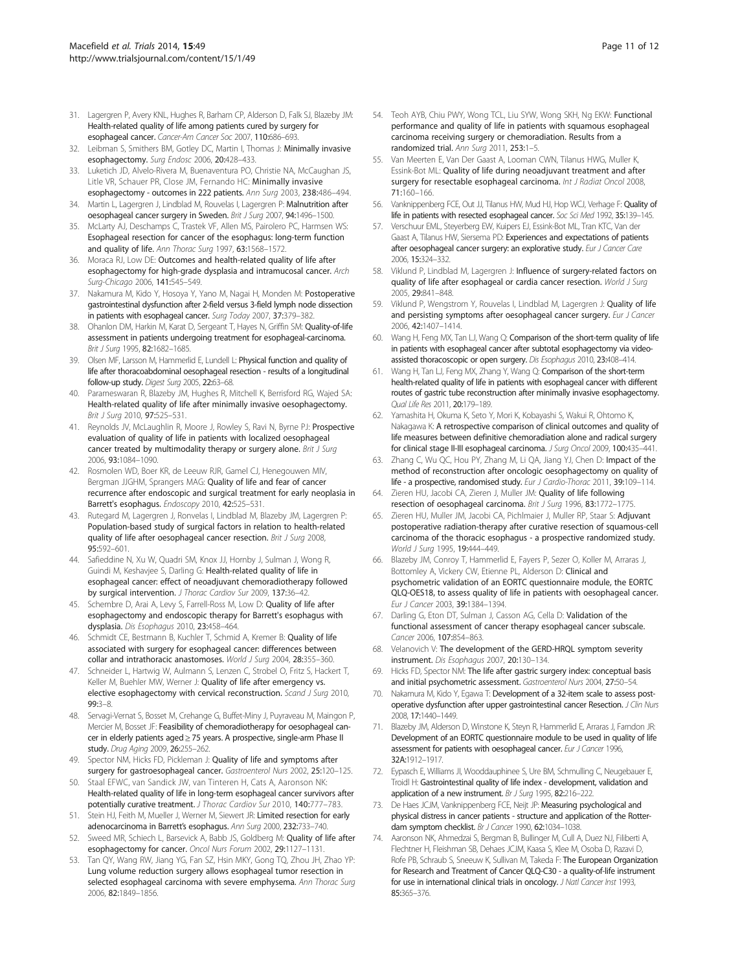- <span id="page-10-0"></span>31. Lagergren P, Avery KNL, Hughes R, Barham CP, Alderson D, Falk SJ, Blazeby JM: Health-related quality of life among patients cured by surgery for esophageal cancer. Cancer-Am Cancer Soc 2007, 110:686–693.
- 32. Leibman S, Smithers BM, Gotley DC, Martin I, Thomas J: Minimally invasive esophagectomy. Surg Endosc 2006, 20:428–433.
- 33. Luketich JD, Alvelo-Rivera M, Buenaventura PO, Christie NA, McCaughan JS, Litle VR, Schauer PR, Close JM, Fernando HC: Minimally invasive esophagectomy - outcomes in 222 patients. Ann Surg 2003, 238:486–494.
- 34. Martin L, Lagergren J, Lindblad M, Rouvelas I, Lagergren P: Malnutrition after oesophageal cancer surgery in Sweden. Brit J Surg 2007, 94:1496–1500.
- 35. McLarty AJ, Deschamps C, Trastek VF, Allen MS, Pairolero PC, Harmsen WS: Esophageal resection for cancer of the esophagus: long-term function and quality of life. Ann Thorac Surg 1997, 63:1568-1572.
- 36. Moraca RJ, Low DE: Outcomes and health-related quality of life after esophagectomy for high-grade dysplasia and intramucosal cancer. Arch Surg-Chicago 2006, 141:545–549.
- 37. Nakamura M, Kido Y, Hosoya Y, Yano M, Nagai H, Monden M: Postoperative gastrointestinal dysfunction after 2-field versus 3-field lymph node dissection in patients with esophageal cancer. Surg Today 2007, 37:379–382.
- 38. Ohanlon DM, Harkin M, Karat D, Sergeant T, Hayes N, Griffin SM: Quality-of-life assessment in patients undergoing treatment for esophageal-carcinoma. Brit J Surg 1995, 82:1682–1685.
- 39. Olsen MF, Larsson M, Hammerlid E, Lundell L: Physical function and quality of life after thoracoabdominal oesophageal resection - results of a longitudinal follow-up study. Digest Surg 2005, 22:63–68.
- 40. Parameswaran R, Blazeby JM, Hughes R, Mitchell K, Berrisford RG, Wajed SA: Health-related quality of life after minimally invasive oesophagectomy. Brit J Surg 2010, 97:525–531.
- 41. Reynolds JV, McLaughlin R, Moore J, Rowley S, Ravi N, Byrne PJ: Prospective evaluation of quality of life in patients with localized oesophageal cancer treated by multimodality therapy or surgery alone. Brit J Surg 2006, 93:1084–1090.
- 42. Rosmolen WD, Boer KR, de Leeuw RJR, Gamel CJ, Henegouwen MIV, Bergman JJGHM, Sprangers MAG: Quality of life and fear of cancer recurrence after endoscopic and surgical treatment for early neoplasia in Barrett's esophagus. Endoscopy 2010, 42:525–531.
- 43. Rutegard M, Lagergren J, Ronvelas I, Lindblad M, Blazeby JM, Lagergren P: Population-based study of surgical factors in relation to health-related quality of life after oesophageal cancer resection. Brit J Surg 2008, 95:592–601.
- 44. Safieddine N, Xu W, Quadri SM, Knox JJ, Hornby J, Sulman J, Wong R, Guindi M, Keshavjee S, Darling G: Health-related quality of life in esophageal cancer: effect of neoadjuvant chemoradiotherapy followed by surgical intervention. J Thorac Cardiov Sur 2009, 137:36-42.
- 45. Schembre D, Arai A, Levy S, Farrell-Ross M, Low D: Quality of life after esophagectomy and endoscopic therapy for Barrett's esophagus with dysplasia. Dis Esophagus 2010, 23:458–464.
- 46. Schmidt CE, Bestmann B, Kuchler T, Schmid A, Kremer B: Quality of life associated with surgery for esophageal cancer: differences between collar and intrathoracic anastomoses. World J Surg 2004, 28:355-360.
- 47. Schneider L, Hartwig W, Aulmann S, Lenzen C, Strobel O, Fritz S, Hackert T, Keller M, Buehler MW, Werner J: Quality of life after emergency vs. elective esophagectomy with cervical reconstruction. Scand J Surg 2010, 99:3–8.
- 48. Servagi-Vernat S, Bosset M, Crehange G, Buffet-Miny J, Puyraveau M, Maingon P, Mercier M, Bosset JF: Feasibility of chemoradiotherapy for oesophageal cancer in elderly patients aged ≥ 75 years. A prospective, single-arm Phase II study. Drug Aging 2009, 26:255-262.
- 49. Spector NM, Hicks FD, Pickleman J: Quality of life and symptoms after surgery for gastroesophageal cancer. Gastroenterol Nurs 2002, 25:120-125.
- 50. Staal EFWC, van Sandick JW, van Tinteren H, Cats A, Aaronson NK: Health-related quality of life in long-term esophageal cancer survivors after potentially curative treatment. J Thorac Cardiov Sur 2010, 140:777-783.
- 51. Stein HJ, Feith M, Mueller J, Werner M, Siewert JR: Limited resection for early adenocarcinoma in Barrett's esophagus. Ann Surg 2000, 232:733–740.
- 52. Sweed MR, Schiech L, Barsevick A, Babb JS, Goldberg M: Quality of life after esophagectomy for cancer. Oncol Nurs Forum 2002, 29:1127–1131.
- 53. Tan QY, Wang RW, Jiang YG, Fan SZ, Hsin MKY, Gong TQ, Zhou JH, Zhao YP: Lung volume reduction surgery allows esophageal tumor resection in selected esophageal carcinoma with severe emphysema. Ann Thorac Surg 2006, 82:1849–1856.
- 54. Teoh AYB, Chiu PWY, Wong TCL, Liu SYW, Wong SKH, Ng EKW: Functional performance and quality of life in patients with squamous esophageal carcinoma receiving surgery or chemoradiation. Results from a randomized trial. Ann Surg 2011, 253:1–5.
- Van Meerten E, Van Der Gaast A, Looman CWN, Tilanus HWG, Muller K, Essink-Bot ML: Quality of life during neoadjuvant treatment and after surgery for resectable esophageal carcinoma. Int J Radiat Oncol 2008, 71:160–166.
- 56. Vanknippenberg FCE, Out JJ, Tilanus HW, Mud HJ, Hop WCJ, Verhage F: Quality of life in patients with resected esophageal cancer. Soc Sci Med 1992, 35:139-145.
- 57. Verschuur EML, Steyerberg EW, Kuipers EJ, Essink-Bot ML, Tran KTC, Van der Gaast A, Tilanus HW, Siersema PD: Experiences and expectations of patients after oesophageal cancer surgery: an explorative study. Eur J Cancer Care 2006, 15:324–332.
- 58. Viklund P, Lindblad M, Lagergren J: Influence of surgery-related factors on quality of life after esophageal or cardia cancer resection. World J Surg 2005, 29:841–848.
- 59. Viklund P, Wengstrom Y, Rouvelas I, Lindblad M, Lagergren J: Quality of life and persisting symptoms after oesophageal cancer surgery. Eur J Cancer 2006, 42:1407–1414.
- 60. Wang H, Feng MX, Tan LJ, Wang Q: Comparison of the short-term quality of life in patients with esophageal cancer after subtotal esophagectomy via videoassisted thoracoscopic or open surgery. Dis Esophagus 2010, 23:408–414.
- 61. Wang H, Tan LJ, Feng MX, Zhang Y, Wang Q: Comparison of the short-term health-related quality of life in patients with esophageal cancer with different routes of gastric tube reconstruction after minimally invasive esophagectomy. Qual Life Res 2011, 20:179–189.
- 62. Yamashita H, Okuma K, Seto Y, Mori K, Kobayashi S, Wakui R, Ohtomo K, Nakagawa K: A retrospective comparison of clinical outcomes and quality of life measures between definitive chemoradiation alone and radical surgery for clinical stage II-III esophageal carcinoma. J Surg Oncol 2009, 100:435–441.
- 63. Zhang C, Wu QC, Hou PY, Zhang M, Li QA, Jiang YJ, Chen D: Impact of the method of reconstruction after oncologic oesophagectomy on quality of life - a prospective, randomised study. Eur J Cardio-Thorac 2011, 39:109-114.
- 64. Zieren HU, Jacobi CA, Zieren J, Muller JM: Quality of life following resection of oesophageal carcinoma. Brit J Surg 1996, 83:1772–1775.
- 65. Zieren HU, Muller JM, Jacobi CA, Pichlmaier J, Muller RP, Staar S: Adjuvant postoperative radiation-therapy after curative resection of squamous-cell carcinoma of the thoracic esophagus - a prospective randomized study. World J Surg 1995, 19:444–449.
- 66. Blazeby JM, Conroy T, Hammerlid E, Fayers P, Sezer O, Koller M, Arraras J, Bottomley A, Vickery CW, Etienne PL, Alderson D: Clinical and psychometric validation of an EORTC questionnaire module, the EORTC QLQ-OES18, to assess quality of life in patients with oesophageal cancer. Eur J Cancer 2003, 39:1384–1394.
- 67. Darling G, Eton DT, Sulman J, Casson AG, Cella D: Validation of the functional assessment of cancer therapy esophageal cancer subscale. Cancer 2006, 107:854–863.
- 68. Velanovich V: The development of the GERD-HRQL symptom severity instrument. Dis Esophagus 2007, 20:130–134.
- 69. Hicks FD, Spector NM: The life after gastric surgery index: conceptual basis and initial psychometric assessment. Gastroenterol Nurs 2004, 27:50–54.
- 70. Nakamura M, Kido Y, Egawa T: Development of a 32-item scale to assess postoperative dysfunction after upper gastrointestinal cancer Resection. J Clin Nurs 2008, 17:1440–1449.
- 71. Blazeby JM, Alderson D, Winstone K, Steyn R, Hammerlid E, Arraras J, Farndon JR: Development of an EORTC questionnaire module to be used in quality of life assessment for patients with oesophageal cancer. Eur J Cancer 1996, 32A:1912–1917.
- 72. Eypasch E, Williams JI, Wooddauphinee S, Ure BM, Schmulling C, Neugebauer E, Troidl H: Gastrointestinal quality of life index - development, validation and application of a new instrument. Br J Surg 1995, 82:216-222.
- 73. De Haes JCJM, Vanknippenberg FCE, Neijt JP: Measuring psychological and physical distress in cancer patients - structure and application of the Rotterdam symptom checklist. Br J Cancer 1990, 62:1034-1038.
- 74. Aaronson NK, Ahmedzai S, Bergman B, Bullinger M, Cull A, Duez NJ, Filiberti A, Flechtner H, Fleishman SB, Dehaes JCJM, Kaasa S, Klee M, Osoba D, Razavi D, Rofe PB, Schraub S, Sneeuw K, Sullivan M, Takeda F: The European Organization for Research and Treatment of Cancer QLQ-C30 - a quality-of-life instrument for use in international clinical trials in oncology. J Natl Cancer Inst 1993, 85:365–376.